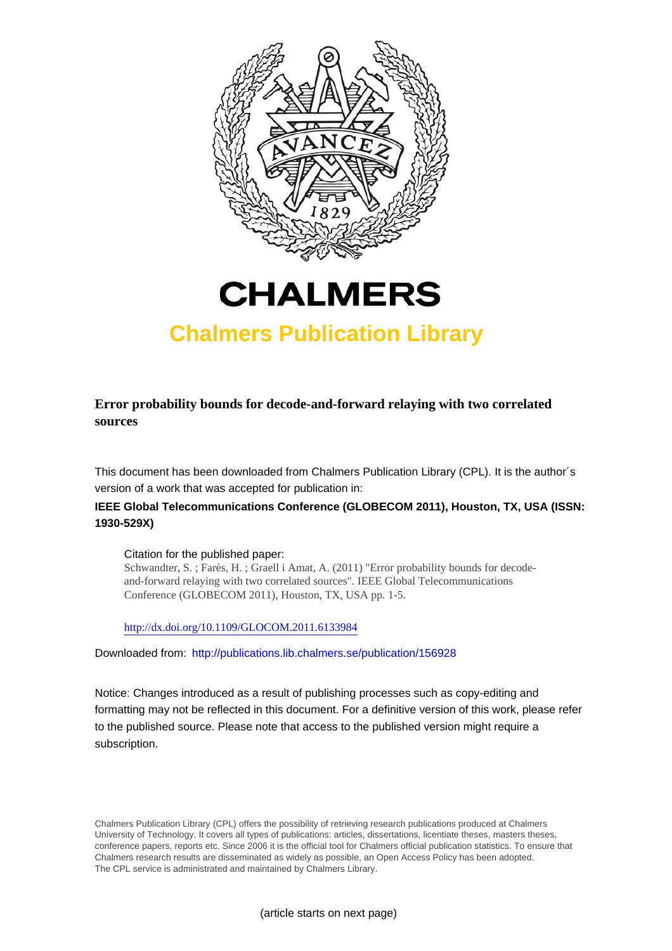



## **Chalmers Publication Library**

**Error probability bounds for decode-and-forward relaying with two correlated sources**

This document has been downloaded from Chalmers Publication Library (CPL). It is the author´s version of a work that was accepted for publication in:

### **IEEE Global Telecommunications Conference (GLOBECOM 2011), Houston, TX, USA (ISSN: 1930-529X)**

Citation for the published paper:

Schwandter, S. ; Farès, H. ; Graell i Amat, A. (2011) "Error probability bounds for decodeand-forward relaying with two correlated sources". IEEE Global Telecommunications Conference (GLOBECOM 2011), Houston, TX, USA pp. 1-5.

<http://dx.doi.org/10.1109/GLOCOM.2011.6133984>

Downloaded from: <http://publications.lib.chalmers.se/publication/156928>

Notice: Changes introduced as a result of publishing processes such as copy-editing and formatting may not be reflected in this document. For a definitive version of this work, please refer to the published source. Please note that access to the published version might require a subscription.

Chalmers Publication Library (CPL) offers the possibility of retrieving research publications produced at Chalmers University of Technology. It covers all types of publications: articles, dissertations, licentiate theses, masters theses, conference papers, reports etc. Since 2006 it is the official tool for Chalmers official publication statistics. To ensure that Chalmers research results are disseminated as widely as possible, an Open Access Policy has been adopted. The CPL service is administrated and maintained by Chalmers Library.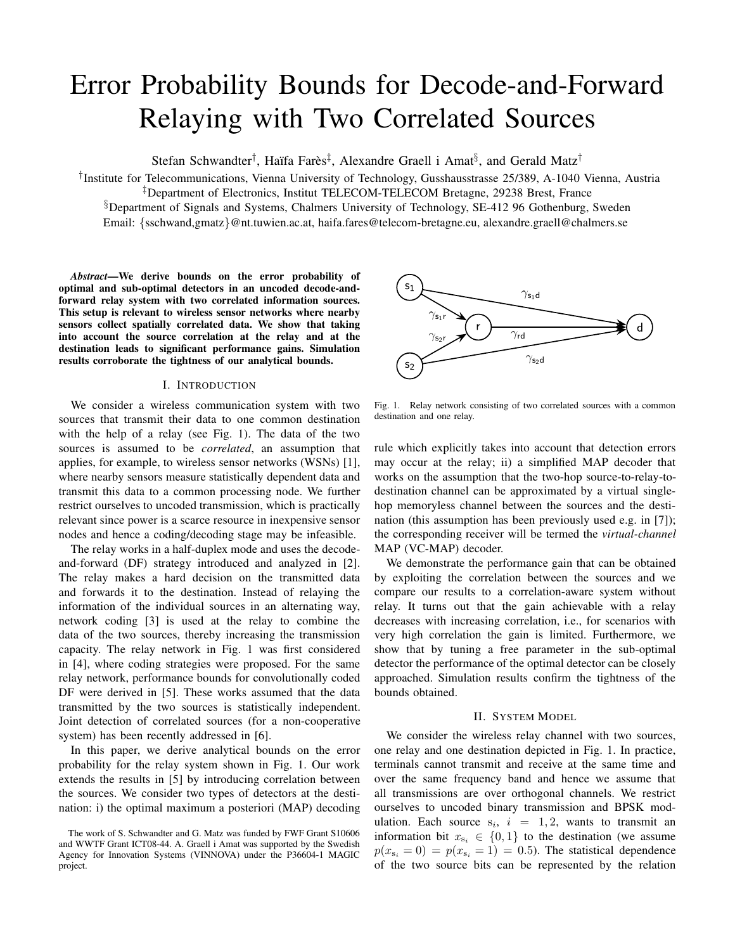# Error Probability Bounds for Decode-and-Forward Relaying with Two Correlated Sources

Stefan Schwandter<sup>†</sup>, Haïfa Farès<sup>‡</sup>, Alexandre Graell i Amat<sup>§</sup>, and Gerald Matz<sup>†</sup>

† Institute for Telecommunications, Vienna University of Technology, Gusshausstrasse 25/389, A-1040 Vienna, Austria ‡Department of Electronics, Institut TELECOM-TELECOM Bretagne, 29238 Brest, France §Department of Signals and Systems, Chalmers University of Technology, SE-412 96 Gothenburg, Sweden Email: {sschwand,gmatz}@nt.tuwien.ac.at, haifa.fares@telecom-bretagne.eu, alexandre.graell@chalmers.se

*Abstract*—We derive bounds on the error probability of optimal and sub-optimal detectors in an uncoded decode-andforward relay system with two correlated information sources. This setup is relevant to wireless sensor networks where nearby sensors collect spatially correlated data. We show that taking into account the source correlation at the relay and at the destination leads to significant performance gains. Simulation results corroborate the tightness of our analytical bounds.

#### I. INTRODUCTION

We consider a wireless communication system with two sources that transmit their data to one common destination with the help of a relay (see Fig. 1). The data of the two sources is assumed to be *correlated*, an assumption that applies, for example, to wireless sensor networks (WSNs) [1], where nearby sensors measure statistically dependent data and transmit this data to a common processing node. We further restrict ourselves to uncoded transmission, which is practically relevant since power is a scarce resource in inexpensive sensor nodes and hence a coding/decoding stage may be infeasible.

The relay works in a half-duplex mode and uses the decodeand-forward (DF) strategy introduced and analyzed in [2]. The relay makes a hard decision on the transmitted data and forwards it to the destination. Instead of relaying the information of the individual sources in an alternating way, network coding [3] is used at the relay to combine the data of the two sources, thereby increasing the transmission capacity. The relay network in Fig. 1 was first considered in [4], where coding strategies were proposed. For the same relay network, performance bounds for convolutionally coded DF were derived in [5]. These works assumed that the data transmitted by the two sources is statistically independent. Joint detection of correlated sources (for a non-cooperative system) has been recently addressed in [6].

In this paper, we derive analytical bounds on the error probability for the relay system shown in Fig. 1. Our work extends the results in [5] by introducing correlation between the sources. We consider two types of detectors at the destination: i) the optimal maximum a posteriori (MAP) decoding



Fig. 1. Relay network consisting of two correlated sources with a common destination and one relay.

rule which explicitly takes into account that detection errors may occur at the relay; ii) a simplified MAP decoder that works on the assumption that the two-hop source-to-relay-todestination channel can be approximated by a virtual singlehop memoryless channel between the sources and the destination (this assumption has been previously used e.g. in [7]); the corresponding receiver will be termed the *virtual-channel* MAP (VC-MAP) decoder.

We demonstrate the performance gain that can be obtained by exploiting the correlation between the sources and we compare our results to a correlation-aware system without relay. It turns out that the gain achievable with a relay decreases with increasing correlation, i.e., for scenarios with very high correlation the gain is limited. Furthermore, we show that by tuning a free parameter in the sub-optimal detector the performance of the optimal detector can be closely approached. Simulation results confirm the tightness of the bounds obtained.

#### II. SYSTEM MODEL

We consider the wireless relay channel with two sources, one relay and one destination depicted in Fig. 1. In practice, terminals cannot transmit and receive at the same time and over the same frequency band and hence we assume that all transmissions are over orthogonal channels. We restrict ourselves to uncoded binary transmission and BPSK modulation. Each source  $s_i$ ,  $i = 1, 2$ , wants to transmit an information bit  $x_{s_i} \in \{0, 1\}$  to the destination (we assume  $p(x_{s_i} = 0) = p(x_{s_i} = 1) = 0.5$ . The statistical dependence of the two source bits can be represented by the relation

The work of S. Schwandter and G. Matz was funded by FWF Grant S10606 and WWTF Grant ICT08-44. A. Graell i Amat was supported by the Swedish Agency for Innovation Systems (VINNOVA) under the P36604-1 MAGIC project.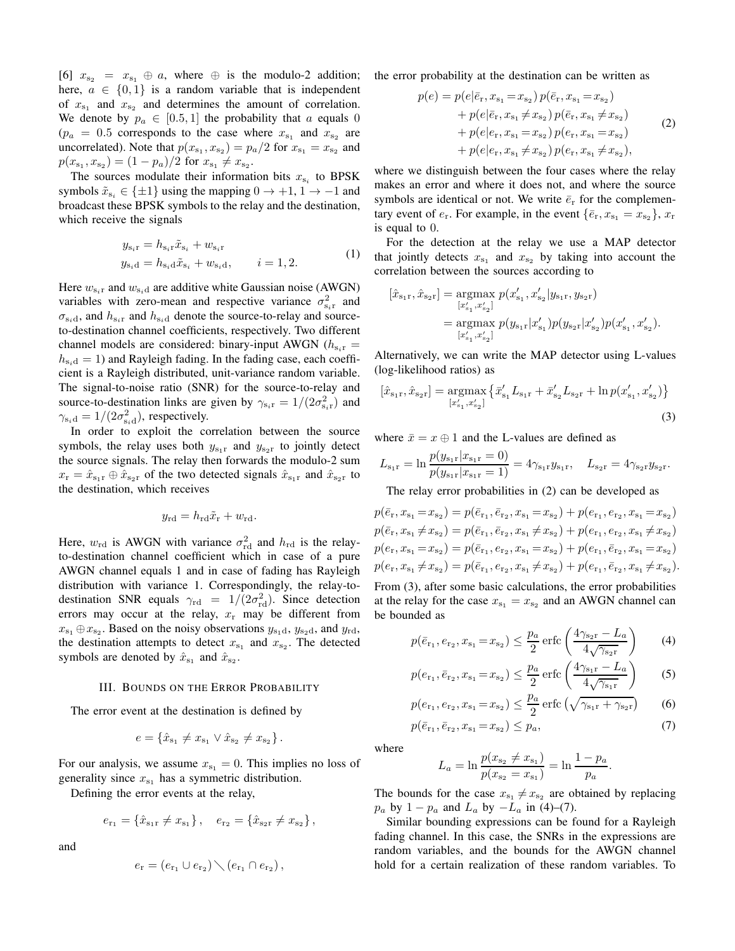[6]  $x_{s_2} = x_{s_1} \oplus a$ , where  $\oplus$  is the modulo-2 addition; here,  $a \in \{0,1\}$  is a random variable that is independent of  $x_{s_1}$  and  $x_{s_2}$  and determines the amount of correlation. We denote by  $p_a \in [0.5, 1]$  the probability that a equals 0  $(p_a = 0.5$  corresponds to the case where  $x_{s_1}$  and  $x_{s_2}$  are uncorrelated). Note that  $p(x_{s_1}, x_{s_2}) = p_a/2$  for  $x_{s_1} = x_{s_2}$  and  $p(x_{s_1}, x_{s_2}) = (1-p_a)/2$  for  $x_{s_1} \neq x_{s_2}$ .

The sources modulate their information bits  $x_{s_i}$  to BPSK symbols  $\tilde{x}_{s_i} \in \{\pm 1\}$  using the mapping  $0 \to +1, 1 \to -1$  and broadcast these BPSK symbols to the relay and the destination, which receive the signals

$$
y_{s_i r} = h_{s_i r} \tilde{x}_{s_i} + w_{s_i r}
$$
  
\n
$$
y_{s_i d} = h_{s_i d} \tilde{x}_{s_i} + w_{s_i d}, \qquad i = 1, 2.
$$
 (1)

Here  $w_{s_i r}$  and  $w_{s_i d}$  are additive white Gaussian noise (AWGN) variables with zero-mean and respective variance  $\sigma_{s_i r}^2$  and  $\sigma_{s_i d}$ , and  $h_{s_i r}$  and  $h_{s_i d}$  denote the source-to-relay and sourceto-destination channel coefficients, respectively. Two different channel models are considered: binary-input AWGN ( $h_{\rm s, r}$  =  $h_{s,d} = 1$ ) and Rayleigh fading. In the fading case, each coefficient is a Rayleigh distributed, unit-variance random variable. The signal-to-noise ratio (SNR) for the source-to-relay and source-to-destination links are given by  $\gamma_{s_i r} = 1/(2\sigma_{s_i r}^2)$  and  $\gamma_{\rm s_i d} = 1/(2\sigma_{\rm s_i d}^2)$ , respectively.

In order to exploit the correlation between the source symbols, the relay uses both  $y_{s_1r}$  and  $y_{s_2r}$  to jointly detect the source signals. The relay then forwards the modulo-2 sum  $x_r = \hat{x}_{s_1r} \oplus \hat{x}_{s_2r}$  of the two detected signals  $\hat{x}_{s_1r}$  and  $\hat{x}_{s_2r}$  to the destination, which receives

$$
y_{\rm rd} = h_{\rm rd} \tilde{x}_{\rm r} + w_{\rm rd}.
$$

Here,  $w_{\text{rd}}$  is AWGN with variance  $\sigma_{\text{rd}}^2$  and  $h_{\text{rd}}$  is the relayto-destination channel coefficient which in case of a pure AWGN channel equals 1 and in case of fading has Rayleigh distribution with variance 1. Correspondingly, the relay-todestination SNR equals  $\gamma_{\text{rd}} = 1/(2\sigma_{\text{rd}}^2)$ . Since detection errors may occur at the relay,  $x_r$  may be different from  $x_{s_1} \oplus x_{s_2}$ . Based on the noisy observations  $y_{s_1d}$ ,  $y_{s_2d}$ , and  $y_{rd}$ , the destination attempts to detect  $x_{s_1}$  and  $x_{s_2}$ . The detected symbols are denoted by  $\hat{x}_{s_1}$  and  $\hat{x}_{s_2}$ .

#### III. BOUNDS ON THE ERROR PROBABILITY

The error event at the destination is defined by

$$
e = \{\hat{x}_{s_1} \neq x_{s_1} \lor \hat{x}_{s_2} \neq x_{s_2}\}.
$$

For our analysis, we assume  $x_{s_1} = 0$ . This implies no loss of generality since  $x_{s_1}$  has a symmetric distribution.

Defining the error events at the relay,

$$
e_{\mathbf{r}_1} = \{\hat{x}_{\mathbf{s}_1\mathbf{r}} \neq x_{\mathbf{s}_1}\}, \quad e_{\mathbf{r}_2} = \{\hat{x}_{\mathbf{s}_2\mathbf{r}} \neq x_{\mathbf{s}_2}\},
$$

and

$$
e_{\rm r} = (e_{\rm r_1} \cup e_{\rm r_2}) \setminus (e_{\rm r_1} \cap e_{\rm r_2}),
$$

the error probability at the destination can be written as

$$
p(e) = p(e|\bar{e}_{r}, x_{s_1} = x_{s_2}) p(\bar{e}_{r}, x_{s_1} = x_{s_2})
$$
  
+ 
$$
p(e|\bar{e}_{r}, x_{s_1} \neq x_{s_2}) p(\bar{e}_{r}, x_{s_1} \neq x_{s_2})
$$
  
+ 
$$
p(e|e_{r}, x_{s_1} = x_{s_2}) p(e_{r}, x_{s_1} = x_{s_2})
$$
  
+ 
$$
p(e|e_{r}, x_{s_1} \neq x_{s_2}) p(e_{r}, x_{s_1} \neq x_{s_2}),
$$
 (2)

where we distinguish between the four cases where the relay makes an error and where it does not, and where the source symbols are identical or not. We write  $\bar{e}_r$  for the complementary event of  $e_r$ . For example, in the event  $\{\bar{e}_r, x_{s_1} = x_{s_2}\}\,$ ,  $x_r$ is equal to 0.

For the detection at the relay we use a MAP detector that jointly detects  $x_{s_1}$  and  $x_{s_2}$  by taking into account the correlation between the sources according to

$$
\begin{aligned} [\hat{x}_{\text{s}_1\text{r}},\hat{x}_{\text{s}_2\text{r}}] &= \underset{[x'_{\text{s}_1},x'_{\text{s}_2}]}{\text{argmax}} p(x'_{\text{s}_1},x'_{\text{s}_2}|y_{\text{s}_1\text{r}},y_{\text{s}_2\text{r}}) \\ &= \underset{[x'_{\text{s}_1},x'_{\text{s}_2}]}{\text{argmax}} p(y_{\text{s}_1\text{r}}|x'_{\text{s}_1}) p(y_{\text{s}_2\text{r}}|x'_{\text{s}_2}) p(x'_{\text{s}_1},x'_{\text{s}_2}). \end{aligned}
$$

Alternatively, we can write the MAP detector using L-values (log-likelihood ratios) as

$$
[\hat{x}_{s_1r}, \hat{x}_{s_2r}] = \underset{[x'_{s_1}, x'_{s_2}]}{\text{argmax}} \left\{ \bar{x}'_{s_1} L_{s_1r} + \bar{x}'_{s_2} L_{s_2r} + \ln p(x'_{s_1}, x'_{s_2}) \right\}
$$
\n(3)

where  $\bar{x} = x \oplus 1$  and the L-values are defined as

$$
L_{s_1r} = \ln \frac{p(y_{s_1r}|x_{s_1r} = 0)}{p(y_{s_1r}|x_{s_1r} = 1)} = 4\gamma_{s_1r}y_{s_1r}, \quad L_{s_2r} = 4\gamma_{s_2r}y_{s_2r}.
$$

The relay error probabilities in (2) can be developed as

$$
p(\bar{e}_r, x_{s_1} = x_{s_2}) = p(\bar{e}_{r_1}, \bar{e}_{r_2}, x_{s_1} = x_{s_2}) + p(e_{r_1}, e_{r_2}, x_{s_1} = x_{s_2})
$$
  
\n
$$
p(\bar{e}_r, x_{s_1} \neq x_{s_2}) = p(\bar{e}_{r_1}, \bar{e}_{r_2}, x_{s_1} \neq x_{s_2}) + p(e_{r_1}, e_{r_2}, x_{s_1} \neq x_{s_2})
$$
  
\n
$$
p(e_r, x_{s_1} = x_{s_2}) = p(\bar{e}_{r_1}, e_{r_2}, x_{s_1} = x_{s_2}) + p(e_{r_1}, \bar{e}_{r_2}, x_{s_1} = x_{s_2})
$$
  
\n
$$
p(e_r, x_{s_1} \neq x_{s_2}) = p(\bar{e}_{r_1}, e_{r_2}, x_{s_1} \neq x_{s_2}) + p(e_{r_1}, \bar{e}_{r_2}, x_{s_1} \neq x_{s_2}).
$$
  
\nFor  $(2)$  be the result that the second solution

From (3), after some basic calculations, the error probabilities at the relay for the case  $x_{s_1} = x_{s_2}$  and an AWGN channel can be bounded as

$$
p(\bar{e}_{r_1}, e_{r_2}, x_{s_1} = x_{s_2}) \le \frac{p_a}{2} \operatorname{erfc}\left(\frac{4\gamma_{s_{2r}} - L_a}{4\sqrt{\gamma_{s_{2r}}}}\right) \tag{4}
$$

$$
p(e_{r_1}, \bar{e}_{r_2}, x_{s_1} = x_{s_2}) \le \frac{p_a}{2} \operatorname{erfc}\left(\frac{4\gamma_{s_1r} - L_a}{4\sqrt{\gamma_{s_1r}}}\right)
$$
 (5)

$$
p(e_{r_1}, e_{r_2}, x_{s_1} = x_{s_2}) \le \frac{p_a}{2} \operatorname{erfc} \left( \sqrt{\gamma_{s_1 r} + \gamma_{s_2 r}} \right)
$$
 (6)

$$
p(\bar{e}_{r_1}, \bar{e}_{r_2}, x_{s_1} = x_{s_2}) \le p_a,
$$
\n(7)

where

$$
L_a = \ln \frac{p(x_{s_2} \neq x_{s_1})}{p(x_{s_2} = x_{s_1})} = \ln \frac{1 - p_a}{p_a}.
$$

The bounds for the case  $x_{s_1} \neq x_{s_2}$  are obtained by replacing  $p_a$  by  $1 - p_a$  and  $L_a$  by  $-L_a$  in (4)–(7).

Similar bounding expressions can be found for a Rayleigh fading channel. In this case, the SNRs in the expressions are random variables, and the bounds for the AWGN channel hold for a certain realization of these random variables. To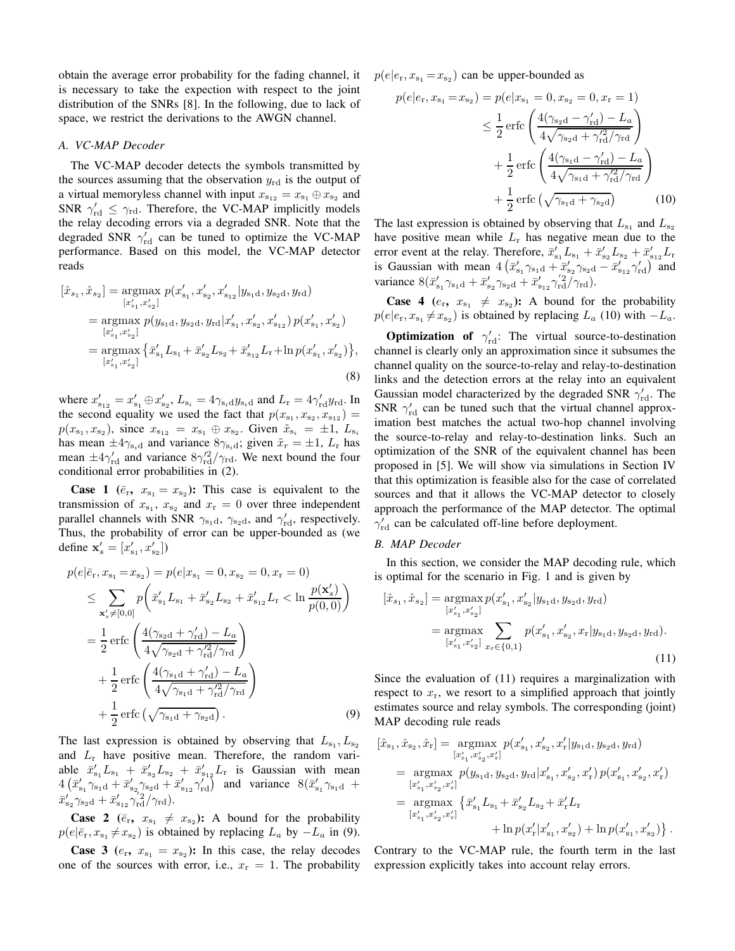obtain the average error probability for the fading channel, it is necessary to take the expection with respect to the joint distribution of the SNRs [8]. In the following, due to lack of space, we restrict the derivations to the AWGN channel.

#### *A. VC-MAP Decoder*

The VC-MAP decoder detects the symbols transmitted by the sources assuming that the observation  $y_{\text{rd}}$  is the output of a virtual memoryless channel with input  $x_{s_{12}} = x_{s_1} \oplus x_{s_2}$  and SNR  $\gamma_{\text{rd}}' \leq \gamma_{\text{rd}}$ . Therefore, the VC-MAP implicitly models the relay decoding errors via a degraded SNR. Note that the degraded SNR  $\gamma_{\text{rd}}'$  can be tuned to optimize the VC-MAP performance. Based on this model, the VC-MAP detector reads

$$
[\hat{x}_{s_1}, \hat{x}_{s_2}] = \underset{[x'_{s_1}, x'_{s_2}]}{\text{argmax}} p(x'_{s_1}, x'_{s_2}, x'_{s_{12}} | y_{s_1d}, y_{s_2d}, y_{rd})
$$
  
\n
$$
= \underset{[x'_{s_1}, x'_{s_2}]}{\text{argmax}} p(y_{s_1d}, y_{s_2d}, y_{rd} | x'_{s_1}, x'_{s_2}, x'_{s_{12}}) p(x'_{s_1}, x'_{s_2})
$$
  
\n
$$
= \underset{[x'_{s_1}, x'_{s_2}]}{\text{argmax}} \{ \bar{x}'_{s_1} L_{s_1} + \bar{x}'_{s_2} L_{s_2} + \bar{x}'_{s_{12}} L_{r} + \ln p(x'_{s_1}, x'_{s_2}) \},
$$
  
\n(8)

where  $x'_{s_{12}} = x'_{s_1} \oplus x'_{s_2}$ ,  $L_{s_i} = 4\gamma_{s_i} dy_{s_i}$  and  $L_r = 4\gamma'_{rd} y_{rd}$ . In the second equality we used the fact that  $p(x_{s_1}, x_{s_2}, x_{s_{12}}) =$  $p(x_{s_1}, x_{s_2})$ , since  $x_{s_{12}} = x_{s_1} \oplus x_{s_2}$ . Given  $\tilde{x}_{s_i} = \pm 1$ ,  $L_{s_i}$ has mean  $\pm 4\gamma_{s_i d}$  and variance  $8\gamma_{s_i d}$ ; given  $\tilde{x}_r = \pm 1$ ,  $L_r$  has mean  $\pm 4\gamma_{\rm rd}^{\prime}$  and variance  $8\gamma_{\rm rd}^{\prime 2}/\gamma_{\rm rd}$ . We next bound the four conditional error probabilities in (2).

**Case 1** ( $\bar{e}_r$ ,  $x_{s_1} = x_{s_2}$ ): This case is equivalent to the transmission of  $x_{s_1}$ ,  $x_{s_2}$  and  $x_r = 0$  over three independent parallel channels with SNR  $\gamma_{s_1d}$ ,  $\gamma_{s_2d}$ , and  $\gamma_{rd}^{\prime}$ , respectively. Thus, the probability of error can be upper-bounded as (we define  $\mathbf{x}'_s = [x'_{s_1}, x'_{s_2}]$ )

$$
p(e|\bar{e}_{r}, x_{s_1} = x_{s_2}) = p(e|x_{s_1} = 0, x_{s_2} = 0, x_r = 0)
$$
  
\n
$$
\leq \sum_{\mathbf{x}'_s \neq [0,0]} p\left(\bar{x}'_{s_1} L_{s_1} + \bar{x}'_{s_2} L_{s_2} + \bar{x}'_{s_{12}} L_r < \ln \frac{p(\mathbf{x}'_s)}{p(0,0)}\right)
$$
  
\n
$$
= \frac{1}{2} \operatorname{erfc}\left(\frac{4(\gamma_{s_2d} + \gamma'_{rd}) - L_a}{4\sqrt{\gamma_{s_2d} + \gamma'_{rd}/\gamma_{rd}}}\right)
$$
  
\n
$$
+ \frac{1}{2} \operatorname{erfc}\left(\frac{4(\gamma_{s_1d} + \gamma'_{rd}) - L_a}{4\sqrt{\gamma_{s_1d} + \gamma'_{rd}/\gamma_{rd}}}\right)
$$
  
\n
$$
+ \frac{1}{2} \operatorname{erfc}\left(\sqrt{\gamma_{s_1d} + \gamma_{s_2d}}\right).
$$
 (9)

The last expression is obtained by observing that  $L_{s_1}, L_{s_2}$ and  $L_r$  have positive mean. Therefore, the random variable  $\bar{x}'_{s_1}L_{s_1} + \bar{x}'_{s_2}L_{s_2} + \bar{x}'_{s_1}L_{r}$  is Gaussian with mean  $4\left(\bar{x}_{s_1}^{\prime}\gamma_{s_1d} + \bar{x}_{s_2}^{\prime}\gamma_{s_2d} + \bar{x}_{s_12}^{\prime}\gamma_{rd}^{\prime}\right)$  and variance  $8(\bar{x}_{s_1}^{\prime}\gamma_{s_1d} +$  $\bar{x}_{s_2}^{\prime}\gamma_{s_2\mathrm{d}}+\bar{x}_{s_{12}}^{\prime}\gamma_{\mathrm{rd}}^{\prime 2}/\gamma_{\mathrm{rd}}).$ 

**Case 2** ( $\bar{e}_{\rm r}$ ,  $x_{\rm s_1} \neq x_{\rm s_2}$ ): A bound for the probability  $p(e|\bar{e}_{\rm r}, x_{\rm s_1} \neq x_{\rm s_2})$  is obtained by replacing  $L_a$  by  $-L_a$  in (9).

**Case 3** ( $e_r$ ,  $x_{s_1} = x_{s_2}$ ): In this case, the relay decodes one of the sources with error, i.e.,  $x_r = 1$ . The probability  $p(e|e_{\rm r}, x_{\rm s_1} = x_{\rm s_2})$  can be upper-bounded as

$$
p(e|e_{\rm r}, x_{\rm s_1} = x_{\rm s_2}) = p(e|x_{\rm s_1} = 0, x_{\rm s_2} = 0, x_{\rm r} = 1)
$$
  

$$
\leq \frac{1}{2} \operatorname{erfc} \left( \frac{4(\gamma_{\rm s_2d} - \gamma_{\rm rd}') - L_a}{4\sqrt{\gamma_{\rm s_2d} + \gamma_{\rm rd}^2/\gamma_{\rm rd}}} \right) + \frac{1}{2} \operatorname{erfc} \left( \frac{4(\gamma_{\rm s_1d} - \gamma_{\rm rd}') - L_a}{4\sqrt{\gamma_{\rm s_1d} + \gamma_{\rm rd}^2/\gamma_{\rm rd}}} \right) + \frac{1}{2} \operatorname{erfc} \left( \sqrt{\gamma_{\rm s_1d} + \gamma_{\rm s_2d}^2} \right) \tag{10}
$$

The last expression is obtained by observing that  $L_{s_1}$  and  $L_{s_2}$ have positive mean while  $L_r$  has negative mean due to the error event at the relay. Therefore,  $\bar{x}'_{s_1}L_{s_1} + \bar{x}'_{s_2}L_{s_2} + \bar{x}'_{s_{12}}L_{r}$ is Gaussian with mean  $4(\bar{x}_{s_1}'\gamma_{s_1d} + \bar{x}_{s_2}'\gamma_{s_2d} - \bar{x}_{s_12}'\gamma_{rd}')$  and variance  $8(\bar{x}_{s_1}^{\prime}\gamma_{s_1d} + \bar{x}_{s_2}^{\prime}\gamma_{s_2d} + \bar{x}_{s_12}^{\prime}\gamma_{rd}^2/\gamma_{rd}).$ 

**Case 4** ( $e_r$ ,  $x_{s_1} \neq x_{s_2}$ ): A bound for the probability  $p(e|e_{\rm r}, x_{\rm s_1} \neq x_{\rm s_2})$  is obtained by replacing  $L_a$  (10) with  $-L_a$ .

**Optimization of**  $\gamma_{\text{rd}}'$ : The virtual source-to-destination channel is clearly only an approximation since it subsumes the channel quality on the source-to-relay and relay-to-destination links and the detection errors at the relay into an equivalent Gaussian model characterized by the degraded SNR  $\gamma_{\rm rd}^{\prime}$ . The SNR  $\gamma_{\rm rd}$  can be tuned such that the virtual channel approximation best matches the actual two-hop channel involving the source-to-relay and relay-to-destination links. Such an optimization of the SNR of the equivalent channel has been proposed in [5]. We will show via simulations in Section IV that this optimization is feasible also for the case of correlated sources and that it allows the VC-MAP detector to closely approach the performance of the MAP detector. The optimal  $\gamma_{\text{rd}}'$  can be calculated off-line before deployment.

#### *B. MAP Decoder*

In this section, we consider the MAP decoding rule, which is optimal for the scenario in Fig. 1 and is given by

$$
[\hat{x}_{s_1}, \hat{x}_{s_2}] = \underset{[x'_{s_1}, x'_{s_2}]}{\text{argmax}} p(x'_{s_1}, x'_{s_2} | y_{s_1d}, y_{s_2d}, y_{rd})
$$
  

$$
= \underset{[x'_{s_1}, x'_{s_2}]}{\text{argmax}} \sum_{x_r \in \{0, 1\}} p(x'_{s_1}, x'_{s_2}, x_r | y_{s_1d}, y_{s_2d}, y_{rd}).
$$
  
(11)

Since the evaluation of (11) requires a marginalization with respect to  $x_r$ , we resort to a simplified approach that jointly estimates source and relay symbols. The corresponding (joint) MAP decoding rule reads

$$
\begin{split} [\hat{x}_{s_1}, \hat{x}_{s_2}, \hat{x}_r] &= \underset{[x'_{s_1}, x'_{s_2}, x'_r]}{\operatorname{argmax}} p(x'_{s_1}, x'_{s_2}, x'_r | y_{s_1d}, y_{s_2d}, y_{rd}) \\ &= \underset{[x'_{s_1}, x'_{s_2}, x'_r]}{\operatorname{argmax}} p(y_{s_1d}, y_{s_2d}, y_{rd} | x'_{s_1}, x'_{s_2}, x'_r) \ p(x'_{s_1}, x'_{s_2}, x'_r) \\ &= \underset{[x'_{s_1}, x'_{s_2}, x'_r]}{\operatorname{argmax}} \left\{ \bar{x}'_{s_1} L_{s_1} + \bar{x}'_{s_2} L_{s_2} + \bar{x}'_r L_r \\ &\quad + \ln p(x'_r | x'_{s_1}, x'_{s_2}) + \ln p(x'_{s_1}, x'_{s_2}) \right\}. \end{split}
$$

Contrary to the VC-MAP rule, the fourth term in the last expression explicitly takes into account relay errors.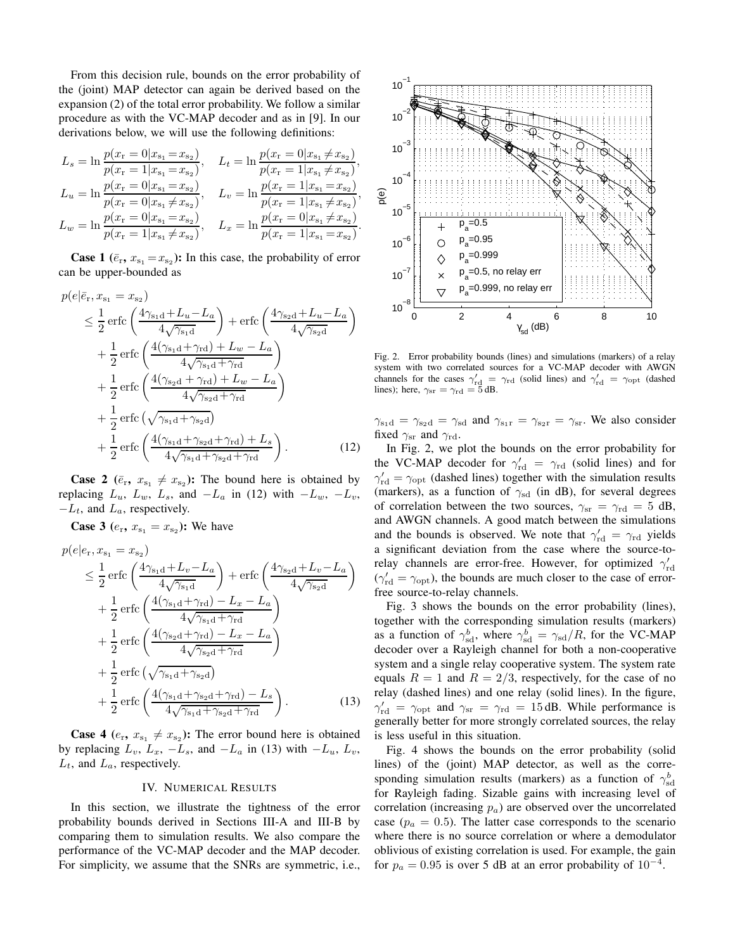From this decision rule, bounds on the error probability of the (joint) MAP detector can again be derived based on the expansion (2) of the total error probability. We follow a similar procedure as with the VC-MAP decoder and as in [9]. In our derivations below, we will use the following definitions:

$$
L_s = \ln \frac{p(x_r = 0 | x_{s_1} = x_{s_2})}{p(x_r = 1 | x_{s_1} = x_{s_2})}, \quad L_t = \ln \frac{p(x_r = 0 | x_{s_1} \neq x_{s_2})}{p(x_r = 1 | x_{s_1} \neq x_{s_2})},
$$
  
\n
$$
L_u = \ln \frac{p(x_r = 0 | x_{s_1} = x_{s_2})}{p(x_r = 0 | x_{s_1} \neq x_{s_2})}, \quad L_v = \ln \frac{p(x_r = 1 | x_{s_1} = x_{s_2})}{p(x_r = 1 | x_{s_1} \neq x_{s_2})},
$$
  
\n
$$
L_w = \ln \frac{p(x_r = 0 | x_{s_1} = x_{s_2})}{p(x_r = 1 | x_{s_1} \neq x_{s_2})}, \quad L_x = \ln \frac{p(x_r = 0 | x_{s_1} \neq x_{s_2})}{p(x_r = 1 | x_{s_1} = x_{s_2})}.
$$

**Case 1** ( $\bar{e}_{r}$ ,  $x_{s_1} = x_{s_2}$ ): In this case, the probability of error can be upper-bounded as

$$
p(e|\bar{e}_{\rm r}, x_{\rm s1} = x_{\rm s2})
$$
\n
$$
\leq \frac{1}{2} \operatorname{erfc}\left(\frac{4\gamma_{\rm s1d} + L_u - L_a}{4\sqrt{\gamma_{\rm s1d}}}\right) + \operatorname{erfc}\left(\frac{4\gamma_{\rm s2d} + L_u - L_a}{4\sqrt{\gamma_{\rm s2d}}}\right)
$$
\n
$$
+ \frac{1}{2} \operatorname{erfc}\left(\frac{4(\gamma_{\rm s1d} + \gamma_{\rm rd}) + L_w - L_a}{4\sqrt{\gamma_{\rm s1d} + \gamma_{\rm rd}}}\right)
$$
\n
$$
+ \frac{1}{2} \operatorname{erfc}\left(\frac{4(\gamma_{\rm s2d} + \gamma_{\rm rd}) + L_w - L_a}{4\sqrt{\gamma_{\rm s2d} + \gamma_{\rm rd}}}\right)
$$
\n
$$
+ \frac{1}{2} \operatorname{erfc}\left(\sqrt{\gamma_{\rm s1d} + \gamma_{\rm s2d}}\right)
$$
\n
$$
+ \frac{1}{2} \operatorname{erfc}\left(\frac{4(\gamma_{\rm s1d} + \gamma_{\rm s2d} + \gamma_{\rm rd}) + L_s}{4\sqrt{\gamma_{\rm s1d} + \gamma_{\rm s2d} + \gamma_{\rm rd}}}\right).
$$
\n(12)

**Case 2** ( $\bar{e}_{\rm r}$ ,  $x_{\rm s_1} \neq x_{\rm s_2}$ ): The bound here is obtained by replacing  $L_u$ ,  $L_w$ ,  $L_s$ , and  $-L_a$  in (12) with  $-L_w$ ,  $-L_v$ ,  $-L_t$ , and  $L_a$ , respectively.

**Case 3** ( $e_{\rm r}$ ,  $x_{\rm s_1} = x_{\rm s_2}$ ): We have

$$
p(e|e_{\rm r}, x_{\rm s_1} = x_{\rm s_2})
$$
\n
$$
\leq \frac{1}{2} \operatorname{erfc}\left(\frac{4\gamma_{\rm s_1d} + L_v - L_a}{4\sqrt{\gamma_{\rm s_1d}}}\right) + \operatorname{erfc}\left(\frac{4\gamma_{\rm s_2d} + L_v - L_a}{4\sqrt{\gamma_{\rm s_2d}}}\right)
$$
\n
$$
+ \frac{1}{2} \operatorname{erfc}\left(\frac{4(\gamma_{\rm s_1d} + \gamma_{\rm rd}) - L_x - L_a}{4\sqrt{\gamma_{\rm s_1d} + \gamma_{\rm rd}}}\right)
$$
\n
$$
+ \frac{1}{2} \operatorname{erfc}\left(\frac{4(\gamma_{\rm s_2d} + \gamma_{\rm rd}) - L_x - L_a}{4\sqrt{\gamma_{\rm s_2d} + \gamma_{\rm rd}}}\right)
$$
\n
$$
+ \frac{1}{2} \operatorname{erfc}\left(\sqrt{\gamma_{\rm s_1d} + \gamma_{\rm s_2d}}\right)
$$
\n
$$
+ \frac{1}{2} \operatorname{erfc}\left(\frac{4(\gamma_{\rm s_1d} + \gamma_{\rm s_2d} + \gamma_{\rm rd}) - L_s}{4\sqrt{\gamma_{\rm s_1d} + \gamma_{\rm s_2d} + \gamma_{\rm rd}}}\right).
$$
\n(13)

**Case 4** ( $e_r$ ,  $x_{s_1} \neq x_{s_2}$ ): The error bound here is obtained by replacing  $L_v$ ,  $L_x$ ,  $-L_s$ , and  $-L_a$  in (13) with  $-L_u$ ,  $L_v$ ,  $L_t$ , and  $L_a$ , respectively.

#### IV. NUMERICAL RESULTS

In this section, we illustrate the tightness of the error probability bounds derived in Sections III-A and III-B by comparing them to simulation results. We also compare the performance of the VC-MAP decoder and the MAP decoder. For simplicity, we assume that the SNRs are symmetric, i.e.,



Fig. 2. Error probability bounds (lines) and simulations (markers) of a relay system with two correlated sources for a VC-MAP decoder with AWGN channels for the cases  $\gamma'_{\text{rd}} = \gamma_{\text{rd}}$  (solid lines) and  $\gamma'_{\text{rd}} = \gamma_{\text{opt}}$  (dashed lines); here,  $\gamma_{\text{sr}} = \gamma_{\text{rd}} = 5$  dB.

 $\gamma_{s_1d} = \gamma_{s_2d} = \gamma_{sd}$  and  $\gamma_{s_1r} = \gamma_{s_2r} = \gamma_{sr}$ . We also consider fixed  $\gamma_{sr}$  and  $\gamma_{rd}$ .

In Fig. 2, we plot the bounds on the error probability for the VC-MAP decoder for  $\gamma_{\text{rd}}' = \gamma_{\text{rd}}$  (solid lines) and for  $\gamma_{\text{rd}}' = \gamma_{\text{opt}}$  (dashed lines) together with the simulation results (markers), as a function of  $\gamma_{sd}$  (in dB), for several degrees of correlation between the two sources,  $\gamma_{sr} = \gamma_{rd} = 5 dB$ , and AWGN channels. A good match between the simulations and the bounds is observed. We note that  $\gamma_{\rm rd} = \gamma_{\rm rd}$  yields a significant deviation from the case where the source-torelay channels are error-free. However, for optimized  $\gamma_{\rm rd}'$  $(\gamma_{\rm rd}' = \gamma_{\rm opt})$ , the bounds are much closer to the case of errorfree source-to-relay channels.

Fig. 3 shows the bounds on the error probability (lines), together with the corresponding simulation results (markers) as a function of  $\gamma^b_{sd}$ , where  $\gamma^b_{sd} = \gamma_{sd}/R$ , for the VC-MAP decoder over a Rayleigh channel for both a non-cooperative system and a single relay cooperative system. The system rate equals  $R = 1$  and  $R = 2/3$ , respectively, for the case of no relay (dashed lines) and one relay (solid lines). In the figure,  $\gamma_{\text{rd}}' = \gamma_{\text{opt}}$  and  $\gamma_{\text{sr}} = \gamma_{\text{rd}} = 15 \text{ dB}$ . While performance is generally better for more strongly correlated sources, the relay is less useful in this situation.

Fig. 4 shows the bounds on the error probability (solid lines) of the (joint) MAP detector, as well as the corresponding simulation results (markers) as a function of  $\gamma^b_{sd}$ for Rayleigh fading. Sizable gains with increasing level of correlation (increasing  $p_a$ ) are observed over the uncorrelated case ( $p_a = 0.5$ ). The latter case corresponds to the scenario where there is no source correlation or where a demodulator oblivious of existing correlation is used. For example, the gain for  $p_a = 0.95$  is over 5 dB at an error probability of  $10^{-4}$ .